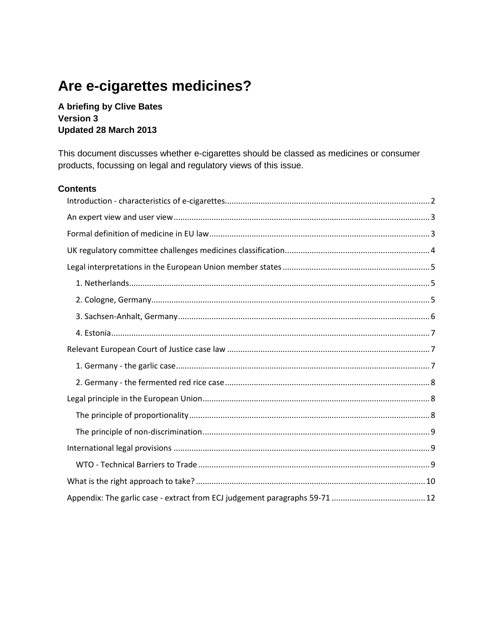# Are e-cigarettes medicines?

A briefing by Clive Bates **Version 3** Updated 28 March 2013

This document discusses whether e-cigarettes should be classed as medicines or consumer products, focussing on legal and regulatory views of this issue.

#### **Contents**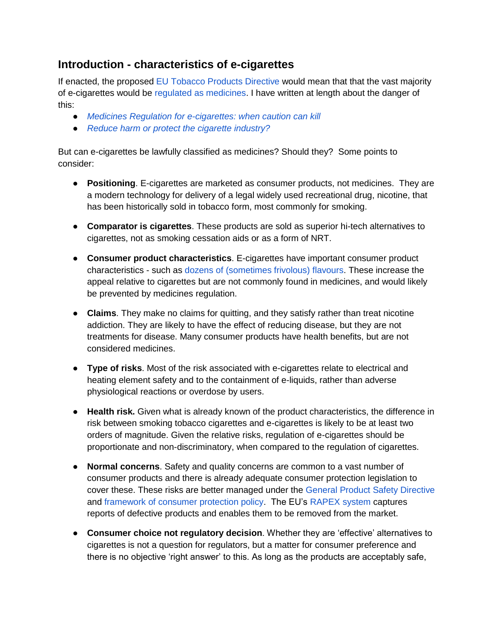# <span id="page-1-0"></span>**Introduction - characteristics of e-cigarettes**

If enacted, the proposed [EU Tobacco Products Directive](http://ec.europa.eu/health/tobacco/products/revision/index_en.htm) would mean that that the vast majority of e-cigarettes would be [regulated as medicines.](http://ec.europa.eu/health/documents/eudralex/vol-1/index_en.htm) I have written at length about the danger of this:

- *[Medicines Regulation for e-cigarettes: when caution can kill](http://www.clivebates.com/?p=787)*
- *● [Reduce harm or protect the cigarette industry?](http://www.clivebates.com/?p=890)*

But can e-cigarettes be lawfully classified as medicines? Should they? Some points to consider:

- **Positioning**. E-cigarettes are marketed as consumer products, not medicines. They are a modern technology for delivery of a legal widely used recreational drug, nicotine, that has been historically sold in tobacco form, most commonly for smoking.
- **Comparator is cigarettes**. These products are sold as superior hi-tech alternatives to cigarettes, not as smoking cessation aids or as a form of NRT.
- **Consumer product characteristics**. E-cigarettes have important consumer product characteristics - such as [dozens of \(sometimes frivolous\) flavours.](http://www.simplyeliquid.co.uk/e-liquid-flavours) These increase the appeal relative to cigarettes but are not commonly found in medicines, and would likely be prevented by medicines regulation.
- **Claims**. They make no claims for quitting, and they satisfy rather than treat nicotine addiction. They are likely to have the effect of reducing disease, but they are not treatments for disease. Many consumer products have health benefits, but are not considered medicines.
- **Type of risks**. Most of the risk associated with e-cigarettes relate to electrical and heating element safety and to the containment of e-liquids, rather than adverse physiological reactions or overdose by users.
- **Health risk.** Given what is already known of the product characteristics, the difference in risk between smoking tobacco cigarettes and e-cigarettes is likely to be at least two orders of magnitude. Given the relative risks, regulation of e-cigarettes should be proportionate and non-discriminatory, when compared to the regulation of cigarettes.
- **Normal concerns**. Safety and quality concerns are common to a vast number of consumer products and there is already adequate consumer protection legislation to cover these. These risks are better managed under the [General Product Safety Directive](http://europa.eu/legislation_summaries/consumers/consumer_information/l21253_en.htm) and [framework of consumer protection policy.](http://ec.europa.eu/consumers/safety/prod_legis/index_en.htm) The EU's [RAPEX system](http://ec.europa.eu/consumers/safety/rapex/index_en.htm) captures reports of defective products and enables them to be removed from the market.
- **Consumer choice not regulatory decision**. Whether they are 'effective' alternatives to cigarettes is not a question for regulators, but a matter for consumer preference and there is no objective 'right answer' to this. As long as the products are acceptably safe,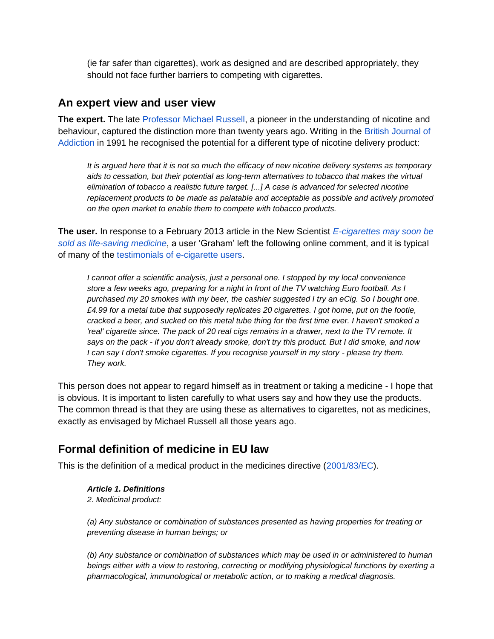(ie far safer than cigarettes), work as designed and are described appropriately, they should not face further barriers to competing with cigarettes.

### <span id="page-2-0"></span>**An expert view and user view**

**The expert.** The late [Professor Michael Russell,](http://www.guardian.co.uk/science/2009/aug/04/obituary-michael-russell) a pioneer in the understanding of nicotine and behaviour, captured the distinction more than twenty years ago. Writing in the [British Journal of](http://www.ihra.net/files/2011/07/13/Russell_-_Nicotine_Replacement.pdf)  [Addiction](http://www.ihra.net/files/2011/07/13/Russell_-_Nicotine_Replacement.pdf) in 1991 he recognised the potential for a different type of nicotine delivery product:

*It is argued here that it is not so much the efficacy of new nicotine delivery systems as temporary aids to cessation, but their potential as long-term alternatives to tobacco that makes the virtual elimination of tobacco a realistic future target. [...] A case is advanced for selected nicotine replacement products to be made as palatable and acceptable as possible and actively promoted on the open market to enable them to compete with tobacco products.*

**The user.** In response to a February 2013 article in the New Scientist *[E-cigarettes may soon be](http://www.newscientist.com/article/mg21729054.900-ecigarettes-may-soon-be-sold-as-lifesaving-medicine.html)  [sold as life-saving medicine](http://www.newscientist.com/article/mg21729054.900-ecigarettes-may-soon-be-sold-as-lifesaving-medicine.html)*, a user 'Graham' left the following online comment, and it is typical of many of the [testimonials of e-cigarette users.](http://www.ecigarettedirect.co.uk/testimonials/testimonial-1.html)

*I cannot offer a scientific analysis, just a personal one. I stopped by my local convenience store a few weeks ago, preparing for a night in front of the TV watching Euro football. As I purchased my 20 smokes with my beer, the cashier suggested I try an eCig. So I bought one. £4.99 for a metal tube that supposedly replicates 20 cigarettes. I got home, put on the footie, cracked a beer, and sucked on this metal tube thing for the first time ever. I haven't smoked a 'real' cigarette since. The pack of 20 real cigs remains in a drawer, next to the TV remote. It says on the pack - if you don't already smoke, don't try this product. But I did smoke, and now I can say I don't smoke cigarettes. If you recognise yourself in my story - please try them. They work.*

This person does not appear to regard himself as in treatment or taking a medicine - I hope that is obvious. It is important to listen carefully to what users say and how they use the products. The common thread is that they are using these as alternatives to cigarettes, not as medicines, exactly as envisaged by Michael Russell all those years ago.

# <span id="page-2-1"></span>**Formal definition of medicine in EU law**

This is the definition of a medical product in the medicines directive [\(2001/83/EC\)](http://ec.europa.eu/health/documents/eudralex/vol-1/index_en.htm).

#### *Article 1. Definitions*

*2. Medicinal product:*

*(a) Any substance or combination of substances presented as having properties for treating or preventing disease in human beings; or*

*(b) Any substance or combination of substances which may be used in or administered to human beings either with a view to restoring, correcting or modifying physiological functions by exerting a pharmacological, immunological or metabolic action, or to making a medical diagnosis.*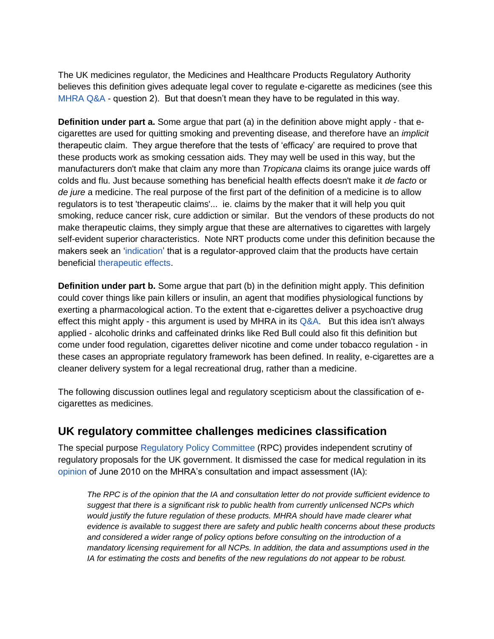The UK medicines regulator, the Medicines and Healthcare Products Regulatory Authority believes this definition gives adequate legal cover to regulate e-cigarette as medicines (see this MHRA  $Q&A$  - question 2). But that doesn't mean they have to be regulated in this way.

**Definition under part a.** Some argue that part (a) in the definition above might apply - that ecigarettes are used for quitting smoking and preventing disease, and therefore have an *implicit*  therapeutic claim. They argue therefore that the tests of 'efficacy' are required to prove that these products work as smoking cessation aids. They may well be used in this way, but the manufacturers don't make that claim any more than *Tropicana* claims its orange juice wards off colds and flu. Just because something has beneficial health effects doesn't make it *de facto* or *de jure* a medicine. The real purpose of the first part of the definition of a medicine is to allow regulators is to test 'therapeutic claims'... ie. claims by the maker that it will help you quit smoking, reduce cancer risk, cure addiction or similar. But the vendors of these products do not make therapeutic claims, they simply argue that these are alternatives to cigarettes with largely self-evident superior characteristics. Note NRT products come under this definition because the makers seek an ['indication'](http://mw4.m-w.com/medical/indication) that is a regulator-approved claim that the products have certain beneficial [therapeutic effects.](http://www.treatobacco.net/en/page_149.php)

**Definition under part b.** Some argue that part (b) in the definition might apply. This definition could cover things like pain killers or insulin, an agent that modifies physiological functions by exerting a pharmacological action. To the extent that e-cigarettes deliver a psychoactive drug effect this might apply - this argument is used by MHRA in its  $Q&A$ . But this idea isn't always applied - alcoholic drinks and caffeinated drinks like Red Bull could also fit this definition but come under food regulation, cigarettes deliver nicotine and come under tobacco regulation - in these cases an appropriate regulatory framework has been defined. In reality, e-cigarettes are a cleaner delivery system for a legal recreational drug, rather than a medicine.

The following discussion outlines legal and regulatory scepticism about the classification of ecigarettes as medicines.

# <span id="page-3-0"></span>**UK regulatory committee challenges medicines classification**

The special purpose [Regulatory Policy Committee](http://regulatorypolicycommittee.independent.gov.uk/) (RPC) provides independent scrutiny of regulatory proposals for the UK government. It dismissed the case for medical regulation in its [opinion](http://regulatorypolicycommittee.independent.gov.uk/wp-content/uploads/2010/06/MHRA-Nicotine-Containing-Products-final-opinion-for-publication.pdf) of June 2010 on the MHRA's consultation and impact assessment (IA):

*The RPC is of the opinion that the IA and consultation letter do not provide sufficient evidence to suggest that there is a significant risk to public health from currently unlicensed NCPs which would justify the future regulation of these products. MHRA should have made clearer what evidence is available to suggest there are safety and public health concerns about these products and considered a wider range of policy options before consulting on the introduction of a mandatory licensing requirement for all NCPs. In addition, the data and assumptions used in the IA for estimating the costs and benefits of the new regulations do not appear to be robust.*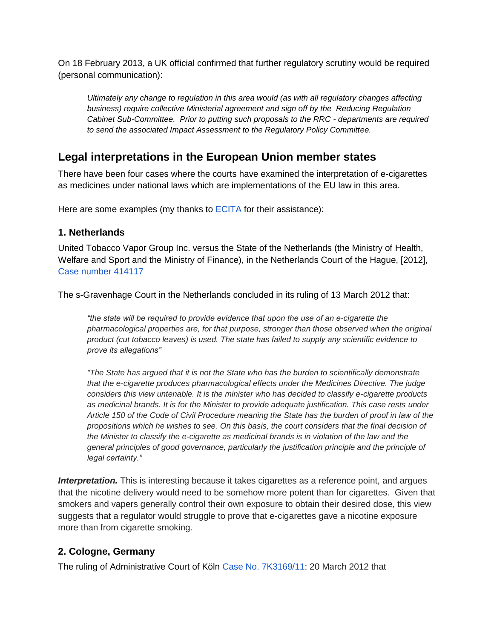On 18 February 2013, a UK official confirmed that further regulatory scrutiny would be required (personal communication):

*Ultimately any change to regulation in this area would (as with all regulatory changes affecting business) require collective Ministerial agreement and sign off by the Reducing Regulation Cabinet Sub-Committee. Prior to putting such proposals to the RRC - departments are required to send the associated Impact Assessment to the Regulatory Policy Committee.*

# <span id="page-4-0"></span>**Legal interpretations in the European Union member states**

There have been four cases where the courts have examined the interpretation of e-cigarettes as medicines under national laws which are implementations of the EU law in this area.

Here are some examples (my thanks to [ECITA](http://www.ecita.org.uk/response%20to%20proposed%20revision%20of%20tpd%20160113.pdf) for their assistance):

#### <span id="page-4-1"></span>**1. Netherlands**

United Tobacco Vapor Group Inc. versus the State of the Netherlands (the Ministry of Health, Welfare and Sport and the Ministry of Finance), in the Netherlands Court of the Hague, [2012], [Case number 414117](http://zoeken.rechtspraak.nl/resultpage.aspx?snelzoeken=true&searchtype=kenmerken&vrije_tekst=414117)

The s-Gravenhage Court in the Netherlands concluded in its ruling of 13 March 2012 that:

*"the state will be required to provide evidence that upon the use of an e-cigarette the pharmacological properties are, for that purpose, stronger than those observed when the original product (cut tobacco leaves) is used. The state has failed to supply any scientific evidence to prove its allegations"*

*"The State has argued that it is not the State who has the burden to scientifically demonstrate that the e-cigarette produces pharmacological effects under the Medicines Directive. The judge considers this view untenable. It is the minister who has decided to classify e-cigarette products as medicinal brands. It is for the Minister to provide adequate justification. This case rests under Article 150 of the Code of Civil Procedure meaning the State has the burden of proof in law of the propositions which he wishes to see. On this basis, the court considers that the final decision of the Minister to classify the e-cigarette as medicinal brands is in violation of the law and the general principles of good governance, particularly the justification principle and the principle of legal certainty."*

*Interpretation.* This is interesting because it takes cigarettes as a reference point, and argues that the nicotine delivery would need to be somehow more potent than for cigarettes. Given that smokers and vapers generally control their own exposure to obtain their desired dose, this view suggests that a regulator would struggle to prove that e-cigarettes gave a nicotine exposure more than from cigarette smoking.

### <span id="page-4-2"></span>**2. Cologne, Germany**

The ruling of Administrative Court of Köln [Case No. 7K3169/11:](http://www.justiz.nrw.de/nrwe/ovgs/vg_koeln/j2012/7_K_3169_11urteil20120320.html) 20 March 2012 that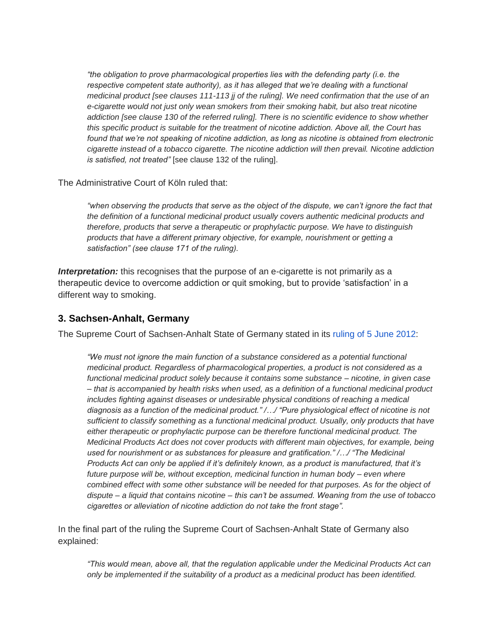*"the obligation to prove pharmacological properties lies with the defending party (i.e. the*  respective competent state authority), as it has alleged that we're dealing with a functional *medicinal product [see clauses 111-113 jj of the ruling]. We need confirmation that the use of an e-cigarette would not just only wean smokers from their smoking habit, but also treat nicotine addiction [see clause 130 of the referred ruling]. There is no scientific evidence to show whether this specific product is suitable for the treatment of nicotine addiction. Above all, the Court has found that we're not speaking of nicotine addiction, as long as nicotine is obtained from electronic cigarette instead of a tobacco cigarette. The nicotine addiction will then prevail. Nicotine addiction is satisfied, not treated"* [see clause 132 of the ruling].

The Administrative Court of Köln ruled that:

*"when observing the products that serve as the object of the dispute, we can't ignore the fact that the definition of a functional medicinal product usually covers authentic medicinal products and therefore, products that serve a therapeutic or prophylactic purpose. We have to distinguish products that have a different primary objective, for example, nourishment or getting a satisfaction" (see clause 171 of the ruling).*

**Interpretation:** this recognises that the purpose of an e-cigarette is not primarily as a therapeutic device to overcome addiction or quit smoking, but to provide 'satisfaction' in a different way to smoking.

#### <span id="page-5-0"></span>**3. Sachsen-Anhalt, Germany**

The Supreme Court of Sachsen-Anhalt State of Germany stated in its [ruling of 5 June 2012:](http://www.wahrheit-ueber-ezigaretten.de/images/stories/pdf/OVG-LSA-20120605.pdf)

*"We must not ignore the main function of a substance considered as a potential functional medicinal product. Regardless of pharmacological properties, a product is not considered as a functional medicinal product solely because it contains some substance – nicotine, in given case – that is accompanied by health risks when used, as a definition of a functional medicinal product includes fighting against diseases or undesirable physical conditions of reaching a medical diagnosis as a function of the medicinal product." /…/ "Pure physiological effect of nicotine is not sufficient to classify something as a functional medicinal product. Usually, only products that have either therapeutic or prophylactic purpose can be therefore functional medicinal product. The Medicinal Products Act does not cover products with different main objectives, for example, being used for nourishment or as substances for pleasure and gratification." /…/ "The Medicinal Products Act can only be applied if it's definitely known, as a product is manufactured, that it's future purpose will be, without exception, medicinal function in human body – even where combined effect with some other substance will be needed for that purposes. As for the object of dispute – a liquid that contains nicotine – this can't be assumed. Weaning from the use of tobacco cigarettes or alleviation of nicotine addiction do not take the front stage".*

In the final part of the ruling the Supreme Court of Sachsen-Anhalt State of Germany also explained:

*"This would mean, above all, that the regulation applicable under the Medicinal Products Act can only be implemented if the suitability of a product as a medicinal product has been identified.*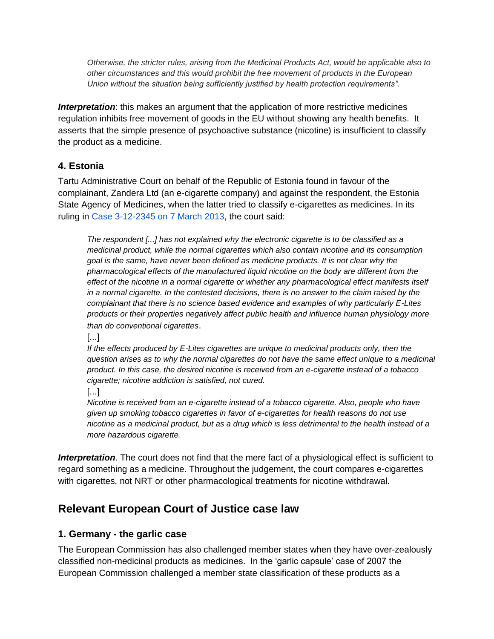*Otherwise, the stricter rules, arising from the Medicinal Products Act, would be applicable also to other circumstances and this would prohibit the free movement of products in the European Union without the situation being sufficiently justified by health protection requirements".*

*Interpretation*: this makes an argument that the application of more restrictive medicines regulation inhibits free movement of goods in the EU without showing any health benefits. It asserts that the simple presence of psychoactive substance (nicotine) is insufficient to classify the product as a medicine.

### <span id="page-6-0"></span>**4. Estonia**

Tartu Administrative Court on behalf of the Republic of Estonia found in favour of the complainant, Zandera Ltd (an e-cigarette company) and against the respondent, the Estonia State Agency of Medicines, when the latter tried to classify e-cigarettes as medicines. In its ruling in [Case 3-12-2345 on 7 March 2013,](http://www.ecita.org.uk/kohtuotsus_e-sigaretid_zandera%20vs%20ravimiamet_ha-3-12-2345_07032013_en-us.pdf) the court said:

*The respondent [...] has not explained why the electronic cigarette is to be classified as a medicinal product, while the normal cigarettes which also contain nicotine and its consumption goal is the same, have never been defined as medicine products. It is not clear why the pharmacological effects of the manufactured liquid nicotine on the body are different from the effect of the nicotine in a normal cigarette or whether any pharmacological effect manifests itself in a normal cigarette. In the contested decisions, there is no answer to the claim raised by the complainant that there is no science based evidence and examples of why particularly E-Lites products or their properties negatively affect public health and influence human physiology more than do conventional cigarettes*.

[...]

*If the effects produced by E-Lites cigarettes are unique to medicinal products only, then the question arises as to why the normal cigarettes do not have the same effect unique to a medicinal product. In this case, the desired nicotine is received from an e-cigarette instead of a tobacco cigarette; nicotine addiction is satisfied, not cured.*

[...]

*Nicotine is received from an e-cigarette instead of a tobacco cigarette. Also, people who have given up smoking tobacco cigarettes in favor of e-cigarettes for health reasons do not use nicotine as a medicinal product, but as a drug which is less detrimental to the health instead of a more hazardous cigarette.*

*Interpretation*. The court does not find that the mere fact of a physiological effect is sufficient to regard something as a medicine. Throughout the judgement, the court compares e-cigarettes with cigarettes, not NRT or other pharmacological treatments for nicotine withdrawal.

# <span id="page-6-1"></span>**Relevant European Court of Justice case law**

### <span id="page-6-2"></span>**1. Germany - the garlic case**

The European Commission has also challenged member states when they have over-zealously classified non-medicinal products as medicines. In the 'garlic capsule' case of 2007 the European Commission challenged a member state classification of these products as a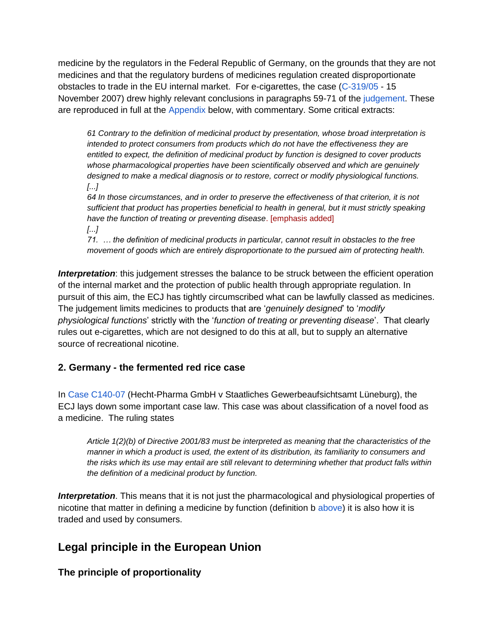medicine by the regulators in the Federal Republic of Germany, on the grounds that they are not medicines and that the regulatory burdens of medicines regulation created disproportionate obstacles to trade in the EU internal market. For e-cigarettes, the case [\(C-319/05](http://curia.europa.eu/juris/liste.jsf?language=en&num=C-319/05) - 15 November 2007) drew highly relevant conclusions in paragraphs 59-71 of the [judgement.](http://curia.europa.eu/juris/document/document.jsf;jsessionid=9ea7d0f130d5201caf8fbfdd4487ab648a7d5b562627.e34KaxiLc3eQc40LaxqMbN4Oah8Ne0?text=&docid=69867&pageIndex=0&doclang=EN&mode=lst&dir=&occ=first&part=1&cid=14641) These are reproduced in full at the [Appendix](#page-11-0) below, with commentary. Some critical extracts:

*61 Contrary to the definition of medicinal product by presentation, whose broad interpretation is intended to protect consumers from products which do not have the effectiveness they are entitled to expect, the definition of medicinal product by function is designed to cover products whose pharmacological properties have been scientifically observed and which are genuinely designed to make a medical diagnosis or to restore, correct or modify physiological functions. [...]*

*64 In those circumstances, and in order to preserve the effectiveness of that criterion, it is not sufficient that product has properties beneficial to health in general, but it must strictly speaking have the function of treating or preventing disease*. [emphasis added] *[...]*

*71. … the definition of medicinal products in particular, cannot result in obstacles to the free movement of goods which are entirely disproportionate to the pursued aim of protecting health.*

**Interpretation**: this judgement stresses the balance to be struck between the efficient operation of the internal market and the protection of public health through appropriate regulation. In pursuit of this aim, the ECJ has tightly circumscribed what can be lawfully classed as medicines. The judgement limits medicines to products that are '*genuinely designed*' to '*modify physiological functions*' strictly with the '*function of treating or preventing disease*'. That clearly rules out e-cigarettes, which are not designed to do this at all, but to supply an alternative source of recreational nicotine.

### <span id="page-7-0"></span>**2. Germany - the fermented red rice case**

In [Case C140-07](http://curia.europa.eu/juris/liste.jsf?language=en&num=C-140/07) (Hecht-Pharma GmbH v Staatliches Gewerbeaufsichtsamt Lüneburg), the ECJ lays down some important case law. This case was about classification of a novel food as a medicine. The ruling states

*Article 1(2)(b) of Directive 2001/83 must be interpreted as meaning that the characteristics of the manner in which a product is used, the extent of its distribution, its familiarity to consumers and the risks which its use may entail are still relevant to determining whether that product falls within the definition of a medicinal product by function.*

*Interpretation*. This means that it is not just the pharmacological and physiological properties of nicotine that matter in defining a medicine by function (definition b [above\)](#page-2-1) it is also how it is traded and used by consumers.

# <span id="page-7-1"></span>**Legal principle in the European Union**

<span id="page-7-2"></span>**The principle of proportionality**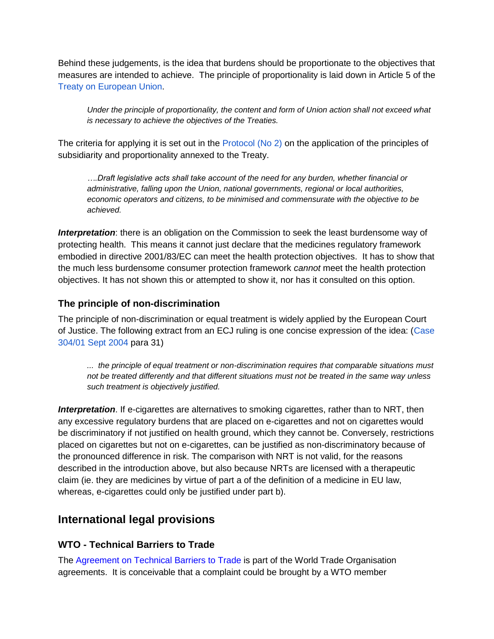Behind these judgements, is the idea that burdens should be proportionate to the objectives that measures are intended to achieve. The principle of proportionality is laid down in Article 5 of the [Treaty on European Union.](http://eur-lex.europa.eu/en/treaties/new-2-48.htm)

*Under the principle of proportionality, the content and form of Union action shall not exceed what is necessary to achieve the objectives of the Treaties.*

The criteria for applying it is set out in the [Protocol \(No 2\)](http://eur-lex.europa.eu/LexUriServ/LexUriServ.do?uri=OJ:C:2007:306:0150:0152:EN:PDF) on the application of the principles of subsidiarity and proportionality annexed to the Treaty.

*….Draft legislative acts shall take account of the need for any burden, whether financial or administrative, falling upon the Union, national governments, regional or local authorities, economic operators and citizens, to be minimised and commensurate with the objective to be achieved.*

*Interpretation*: there is an obligation on the Commission to seek the least burdensome way of protecting health. This means it cannot just declare that the medicines regulatory framework embodied in directive 2001/83/EC can meet the health protection objectives. It has to show that the much less burdensome consumer protection framework *cannot* meet the health protection objectives. It has not shown this or attempted to show it, nor has it consulted on this option.

#### <span id="page-8-0"></span>**The principle of non-discrimination**

The principle of non-discrimination or equal treatment is widely applied by the European Court of Justice. The following extract from an ECJ ruling is one concise expression of the idea: [\(Case](http://eur-lex.europa.eu/LexUriServ/LexUriServ.do?uri=CELEX:62001CJ0304:EN:HTML)  [304/01 Sept 2004](http://eur-lex.europa.eu/LexUriServ/LexUriServ.do?uri=CELEX:62001CJ0304:EN:HTML) para 31)

*... the principle of equal treatment or non-discrimination requires that comparable situations must not be treated differently and that different situations must not be treated in the same way unless such treatment is objectively justified.*

**Interpretation**. If e-cigarettes are alternatives to smoking cigarettes, rather than to NRT, then any excessive regulatory burdens that are placed on e-cigarettes and not on cigarettes would be discriminatory if not justified on health ground, which they cannot be. Conversely, restrictions placed on cigarettes but not on e-cigarettes, can be justified as non-discriminatory because of the pronounced difference in risk. The comparison with NRT is not valid, for the reasons described in the introduction above, but also because NRTs are licensed with a therapeutic claim (ie. they are medicines by virtue of part a of the definition of a medicine in EU law, whereas, e-cigarettes could only be justified under part b).

# <span id="page-8-1"></span>**International legal provisions**

### <span id="page-8-2"></span>**WTO - Technical Barriers to Trade**

The [Agreement on Technical Barriers to Trade](http://www.wto.org/english/tratop_e/tbt_e/tbt_info_e.htm) is part of the World Trade Organisation agreements. It is conceivable that a complaint could be brought by a WTO member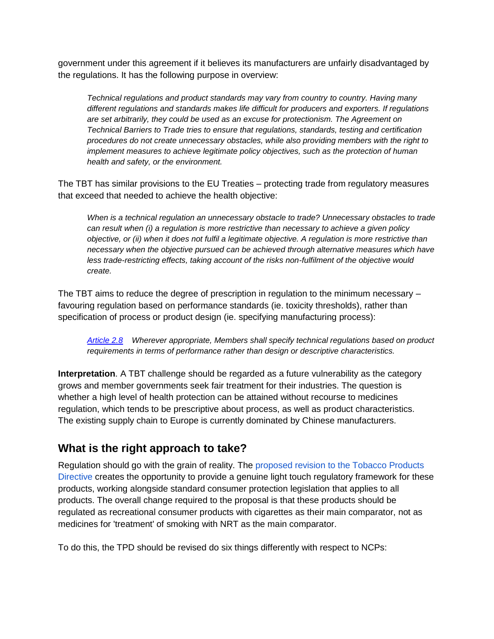government under this agreement if it believes its manufacturers are unfairly disadvantaged by the regulations. It has the following purpose in overview:

*Technical regulations and product standards may vary from country to country. Having many different regulations and standards makes life difficult for producers and exporters. If regulations are set arbitrarily, they could be used as an excuse for protectionism. The Agreement on Technical Barriers to Trade tries to ensure that regulations, standards, testing and certification procedures do not create unnecessary obstacles, while also providing members with the right to implement measures to achieve legitimate policy objectives, such as the protection of human health and safety, or the environment.*

The TBT has similar provisions to the EU Treaties – protecting trade from regulatory measures that exceed that needed to achieve the health objective:

*When is a technical regulation an unnecessary obstacle to trade? Unnecessary obstacles to trade can result when (i) a regulation is more restrictive than necessary to achieve a given policy objective, or (ii) when it does not fulfil a legitimate objective. A regulation is more restrictive than necessary when the objective pursued can be achieved through alternative measures which have*  less trade-restricting effects, taking account of the risks non-fulfilment of the objective would *create.*

The TBT aims to reduce the degree of prescription in regulation to the minimum necessary – favouring regulation based on performance standards (ie. toxicity thresholds), rather than specification of process or product design (ie. specifying manufacturing process):

*[Article 2.8](http://www.wto.org/english/res_e/booksp_e/analytic_index_e/tbt_01_e.htm) Wherever appropriate, Members shall specify technical regulations based on product requirements in terms of performance rather than design or descriptive characteristics.*

**Interpretation**. A TBT challenge should be regarded as a future vulnerability as the category grows and member governments seek fair treatment for their industries. The question is whether a high level of health protection can be attained without recourse to medicines regulation, which tends to be prescriptive about process, as well as product characteristics. The existing supply chain to Europe is currently dominated by Chinese manufacturers.

# <span id="page-9-0"></span>**What is the right approach to take?**

Regulation should go with the grain of reality. The [proposed revision to the Tobacco Products](http://ec.europa.eu/health/tobacco/products/revision/index_en.htm)  [Directive](http://ec.europa.eu/health/tobacco/products/revision/index_en.htm) creates the opportunity to provide a genuine light touch regulatory framework for these products, working alongside standard consumer protection legislation that applies to all products. The overall change required to the proposal is that these products should be regulated as recreational consumer products with cigarettes as their main comparator, not as medicines for 'treatment' of smoking with NRT as the main comparator.

To do this, the TPD should be revised do six things differently with respect to NCPs: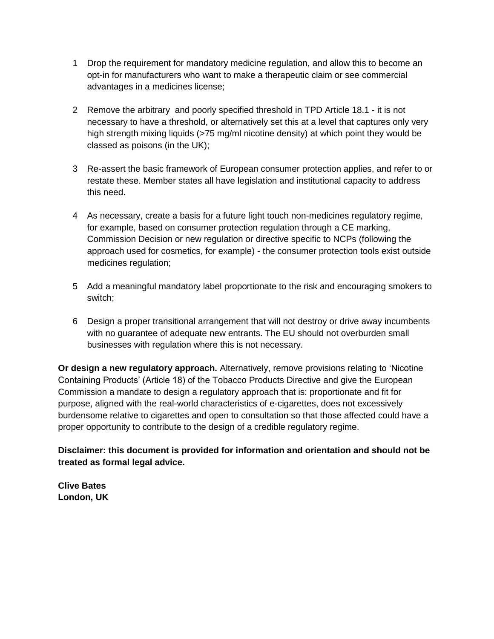- 1 Drop the requirement for mandatory medicine regulation, and allow this to become an opt-in for manufacturers who want to make a therapeutic claim or see commercial advantages in a medicines license;
- 2 Remove the arbitrary and poorly specified threshold in TPD Article 18.1 it is not necessary to have a threshold, or alternatively set this at a level that captures only very high strength mixing liquids (>75 mg/ml nicotine density) at which point they would be classed as poisons (in the UK);
- 3 Re-assert the basic framework of European consumer protection applies, and refer to or restate these. Member states all have legislation and institutional capacity to address this need.
- 4 As necessary, create a basis for a future light touch non-medicines regulatory regime, for example, based on consumer protection regulation through a CE marking, Commission Decision or new regulation or directive specific to NCPs (following the approach used for cosmetics, for example) - the consumer protection tools exist outside medicines regulation;
- 5 Add a meaningful mandatory label proportionate to the risk and encouraging smokers to switch;
- 6 Design a proper transitional arrangement that will not destroy or drive away incumbents with no guarantee of adequate new entrants. The EU should not overburden small businesses with regulation where this is not necessary.

**Or design a new regulatory approach.** Alternatively, remove provisions relating to 'Nicotine Containing Products' (Article 18) of the Tobacco Products Directive and give the European Commission a mandate to design a regulatory approach that is: proportionate and fit for purpose, aligned with the real-world characteristics of e-cigarettes, does not excessively burdensome relative to cigarettes and open to consultation so that those affected could have a proper opportunity to contribute to the design of a credible regulatory regime.

**Disclaimer: this document is provided for information and orientation and should not be treated as formal legal advice.** 

**Clive Bates London, UK**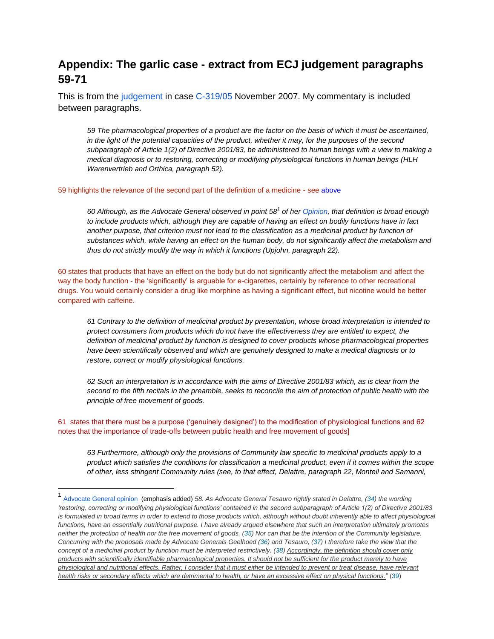# <span id="page-11-0"></span>**Appendix: The garlic case - extract from ECJ judgement paragraphs 59-71**

This is from the [judgement](http://curia.europa.eu/juris/document/document.jsf;jsessionid=9ea7d0f130d5201caf8fbfdd4487ab648a7d5b562627.e34KaxiLc3eQc40LaxqMbN4Oah8Ne0?text=&docid=69867&pageIndex=0&doclang=EN&mode=lst&dir=&occ=first&part=1&cid=14641) in case [C-319/05](http://curia.europa.eu/juris/liste.jsf?language=en&num=C-319/05) November 2007. My commentary is included between paragraphs.

*59 The pharmacological properties of a product are the factor on the basis of which it must be ascertained, in the light of the potential capacities of the product, whether it may, for the purposes of the second subparagraph of Article 1(2) of Directive 2001/83, be administered to human beings with a view to making a medical diagnosis or to restoring, correcting or modifying physiological functions in human beings (HLH Warenvertrieb and Orthica, paragraph 52).*

#### 59 highlights the relevance of the second part of the definition of a medicine - see [above](#page-2-1)

*60 Although, as the Advocate General observed in point 58<sup>1</sup> of her [Opinion,](http://curia.europa.eu/juris/document/document.jsf;jsessionid=9ea7d0f130d5201caf8fbfdd4487ab648a7d5b562627.e34KaxiLc3eQc40LaxqMbN4Oah8Ne0?text=&docid=61157&pageIndex=0&doclang=en&mode=lst&dir=&occ=first&part=1&cid=14641) that definition is broad enough to include products which, although they are capable of having an effect on bodily functions have in fact another purpose, that criterion must not lead to the classification as a medicinal product by function of substances which, while having an effect on the human body, do not significantly affect the metabolism and thus do not strictly modify the way in which it functions (Upjohn, paragraph 22).*

60 states that products that have an effect on the body but do not significantly affect the metabolism and affect the way the body function - the 'significantly' is arguable for e-cigarettes, certainly by reference to other recreational drugs. You would certainly consider a drug like morphine as having a significant effect, but nicotine would be better compared with caffeine.

*61 Contrary to the definition of medicinal product by presentation, whose broad interpretation is intended to protect consumers from products which do not have the effectiveness they are entitled to expect, the definition of medicinal product by function is designed to cover products whose pharmacological properties have been scientifically observed and which are genuinely designed to make a medical diagnosis or to restore, correct or modify physiological functions.*

*62 Such an interpretation is in accordance with the aims of Directive 2001/83 which, as is clear from the*  second to the fifth recitals in the preamble, seeks to reconcile the aim of protection of public health with the *principle of free movement of goods.*

61 states that there must be a purpose ('genuinely designed') to the modification of physiological functions and 62 notes that the importance of trade-offs between public health and free movement of goods]

 $\overline{a}$ 

*63 Furthermore, although only the provisions of Community law specific to medicinal products apply to a product which satisfies the conditions for classification a medicinal product, even if it comes within the scope of other, less stringent Community rules (see, to that effect, Delattre, paragraph 22, Monteil and Samanni,*

<sup>1</sup> [Advocate General opinion](http://curia.europa.eu/juris/document/document.jsf;jsessionid=9ea7d0f130d5201caf8fbfdd4487ab648a7d5b562627.e34KaxiLc3eQc40LaxqMbN4Oah8Ne0?text=&docid=61157&pageIndex=0&doclang=en&mode=lst&dir=&occ=first&part=1&cid=14641) (emphasis added) 58. As Advocate General Tesauro rightly stated in Delattre, [\(34\)](http://curia.europa.eu/juris/document/document.jsf;jsessionid=9ea7d0f130d5201caf8fbfdd4487ab648a7d5b562627.e34KaxiLc3eQc40LaxqMbN4Oah8Ne0?text=&docid=61157&pageIndex=0&doclang=en&mode=lst&dir=&occ=first&part=1&cid=14641#Footnote34) the wording *'restoring, correcting or modifying physiological functions' contained in the second subparagraph of Article 1(2) of Directive 2001/83*  is formulated in broad terms in order to extend to those products which, although without doubt inherently able to affect physiological *functions, have an essentially nutritional purpose. I have already argued elsewhere that such an interpretation ultimately promotes neither the protection of health nor the free movement of goods. [\(35\)](http://curia.europa.eu/juris/document/document.jsf;jsessionid=9ea7d0f130d5201caf8fbfdd4487ab648a7d5b562627.e34KaxiLc3eQc40LaxqMbN4Oah8Ne0?text=&docid=61157&pageIndex=0&doclang=en&mode=lst&dir=&occ=first&part=1&cid=14641#Footnote35) Nor can that be the intention of the Community legislature. Concurring with the proposals made by Advocate Generals Geelhoed [\(36\)](http://curia.europa.eu/juris/document/document.jsf;jsessionid=9ea7d0f130d5201caf8fbfdd4487ab648a7d5b562627.e34KaxiLc3eQc40LaxqMbN4Oah8Ne0?text=&docid=61157&pageIndex=0&doclang=en&mode=lst&dir=&occ=first&part=1&cid=14641#Footnote36) and Tesauro, [\(37\)](http://curia.europa.eu/juris/document/document.jsf;jsessionid=9ea7d0f130d5201caf8fbfdd4487ab648a7d5b562627.e34KaxiLc3eQc40LaxqMbN4Oah8Ne0?text=&docid=61157&pageIndex=0&doclang=en&mode=lst&dir=&occ=first&part=1&cid=14641#Footnote37) I therefore take the view that the concept of a medicinal product by function must be interpreted restrictively. [\(38\)](http://curia.europa.eu/juris/document/document.jsf;jsessionid=9ea7d0f130d5201caf8fbfdd4487ab648a7d5b562627.e34KaxiLc3eQc40LaxqMbN4Oah8Ne0?text=&docid=61157&pageIndex=0&doclang=en&mode=lst&dir=&occ=first&part=1&cid=14641#Footnote38) Accordingly, the definition should cover only products with scientifically identifiable pharmacological properties. It should not be sufficient for the product merely to have physiological and nutritional effects. Rather, I consider that it must either be intended to prevent or treat disease, have relevant health risks or secondary effects which are detrimental to health, or have an excessive effect on physical functions*." [\(39\)](http://curia.europa.eu/juris/document/document.jsf;jsessionid=9ea7d0f130d5201caf8fbfdd4487ab648a7d5b562627.e34KaxiLc3eQc40LaxqMbN4Oah8Ne0?text=&docid=61157&pageIndex=0&doclang=en&mode=lst&dir=&occ=first&part=1&cid=14641#Footnote39)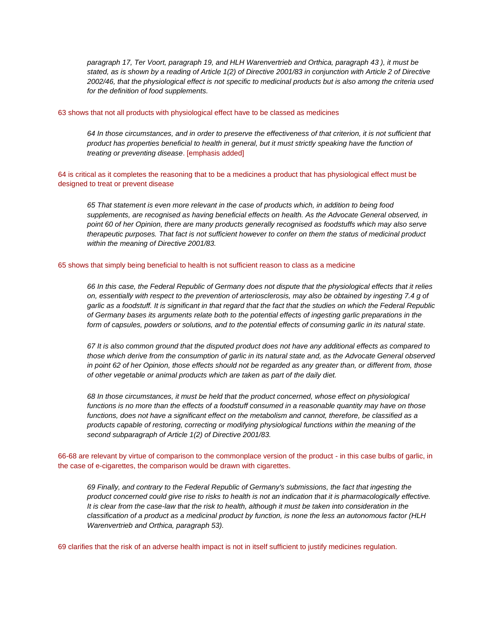*paragraph 17, Ter Voort, paragraph 19, and HLH Warenvertrieb and Orthica, paragraph 43 ), it must be stated, as is shown by a reading of Article 1(2) of Directive 2001/83 in conjunction with Article 2 of Directive 2002/46, that the physiological effect is not specific to medicinal products but is also among the criteria used for the definition of food supplements.*

#### 63 shows that not all products with physiological effect have to be classed as medicines

*64 In those circumstances, and in order to preserve the effectiveness of that criterion, it is not sufficient that product has properties beneficial to health in general, but it must strictly speaking have the function of treating or preventing disease*. [emphasis added]

64 is critical as it completes the reasoning that to be a medicines a product that has physiological effect must be designed to treat or prevent disease

*65 That statement is even more relevant in the case of products which, in addition to being food supplements, are recognised as having beneficial effects on health. As the Advocate General observed, in point 60 of her Opinion, there are many products generally recognised as foodstuffs which may also serve therapeutic purposes. That fact is not sufficient however to confer on them the status of medicinal product within the meaning of Directive 2001/83.*

#### 65 shows that simply being beneficial to health is not sufficient reason to class as a medicine

*66 In this case, the Federal Republic of Germany does not dispute that the physiological effects that it relies on, essentially with respect to the prevention of arteriosclerosis, may also be obtained by ingesting 7.4 g of garlic as a foodstuff. It is significant in that regard that the fact that the studies on which the Federal Republic of Germany bases its arguments relate both to the potential effects of ingesting garlic preparations in the form of capsules, powders or solutions, and to the potential effects of consuming garlic in its natural state.*

*67 It is also common ground that the disputed product does not have any additional effects as compared to those which derive from the consumption of garlic in its natural state and, as the Advocate General observed in point 62 of her Opinion, those effects should not be regarded as any greater than, or different from, those of other vegetable or animal products which are taken as part of the daily diet.* 

*68 In those circumstances, it must be held that the product concerned, whose effect on physiological functions is no more than the effects of a foodstuff consumed in a reasonable quantity may have on those functions, does not have a significant effect on the metabolism and cannot, therefore, be classified as a products capable of restoring, correcting or modifying physiological functions within the meaning of the second subparagraph of Article 1(2) of Directive 2001/83.* 

66-68 are relevant by virtue of comparison to the commonplace version of the product - in this case bulbs of garlic, in the case of e-cigarettes, the comparison would be drawn with cigarettes.

*69 Finally, and contrary to the Federal Republic of Germany's submissions, the fact that ingesting the product concerned could give rise to risks to health is not an indication that it is pharmacologically effective. It is clear from the case-law that the risk to health, although it must be taken into consideration in the classification of a product as a medicinal product by function, is none the less an autonomous factor (HLH Warenvertrieb and Orthica, paragraph 53).*

69 clarifies that the risk of an adverse health impact is not in itself sufficient to justify medicines regulation.